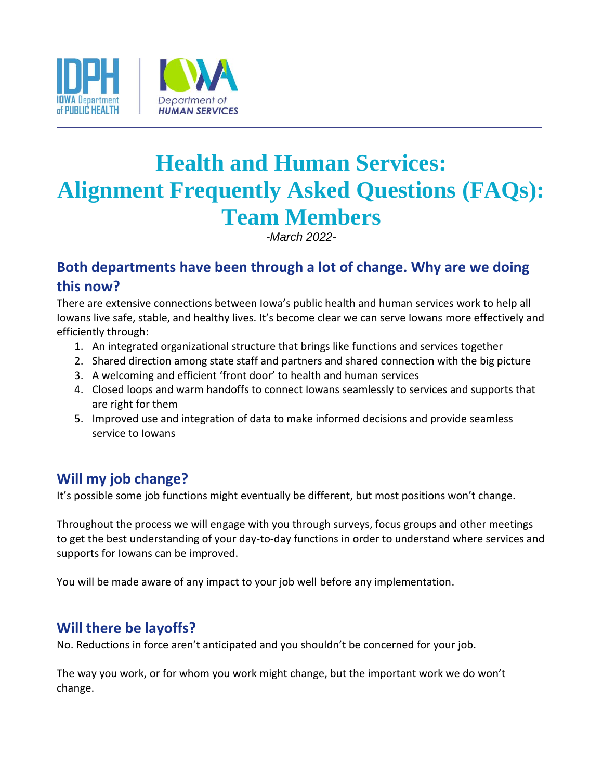

# **Health and Human Services: Alignment Frequently Asked Questions (FAQs): Team Members**

*-March 2022-*

# **Both departments have been through a lot of change. Why are we doing this now?**

There are extensive connections between Iowa's public health and human services work to help all Iowans live safe, stable, and healthy lives. It's become clear we can serve Iowans more effectively and efficiently through:

- 1. An integrated organizational structure that brings like functions and services together
- 2. Shared direction among state staff and partners and shared connection with the big picture
- 3. A welcoming and efficient 'front door' to health and human services
- 4. Closed loops and warm handoffs to connect Iowans seamlessly to services and supports that are right for them
- 5. Improved use and integration of data to make informed decisions and provide seamless service to Iowans

# **Will my job change?**

It's possible some job functions might eventually be different, but most positions won't change.

Throughout the process we will engage with you through surveys, focus groups and other meetings to get the best understanding of your day-to-day functions in order to understand where services and supports for Iowans can be improved.

You will be made aware of any impact to your job well before any implementation.

# **Will there be layoffs?**

No. Reductions in force aren't anticipated and you shouldn't be concerned for your job.

The way you work, or for whom you work might change, but the important work we do won't change.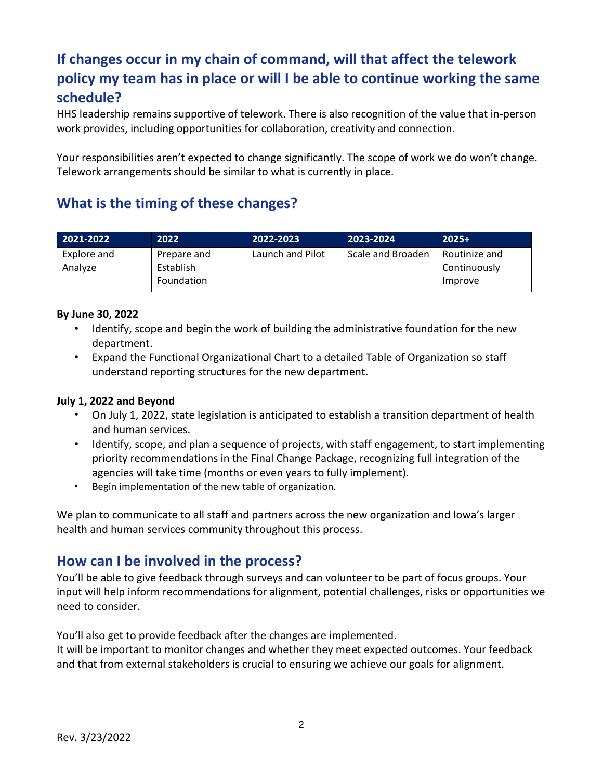# **If changes occur in my chain of command, will that affect the telework policy my team has in place or will I be able to continue working the same schedule?**

HHS leadership remains supportive of telework. There is also recognition of the value that in-person work provides, including opportunities for collaboration, creativity and connection.

Your responsibilities aren't expected to change significantly. The scope of work we do won't change. Telework arrangements should be similar to what is currently in place.

## **What is the timing of these changes?**

| 2021-2022              | 2022                                   | 2022-2023        | 2023-2024         | $2025+$                                  |
|------------------------|----------------------------------------|------------------|-------------------|------------------------------------------|
| Explore and<br>Analyze | Prepare and<br>Establish<br>Foundation | Launch and Pilot | Scale and Broaden | Routinize and<br>Continuously<br>Improve |

#### **By June 30, 2022**

- Identify, scope and begin the work of building the administrative foundation for the new department.
- Expand the Functional Organizational Chart to a detailed Table of Organization so staff understand reporting structures for the new department.

#### **July 1, 2022 and Beyond**

- On July 1, 2022, state legislation is anticipated to establish a transition department of health and human services.
- Identify, scope, and plan a sequence of projects, with staff engagement, to start implementing priority recommendations in the Final Change Package, recognizing full integration of the agencies will take time (months or even years to fully implement).
- Begin implementation of the new table of organization.

We plan to communicate to all staff and partners across the new organization and Iowa's larger health and human services community throughout this process.

#### **How can I be involved in the process?**

You'll be able to give feedback through surveys and can volunteer to be part of focus groups. Your input will help inform recommendations for alignment, potential challenges, risks or opportunities we need to consider.

You'll also get to provide feedback after the changes are implemented.

It will be important to monitor changes and whether they meet expected outcomes. Your feedback and that from external stakeholders is crucial to ensuring we achieve our goals for alignment.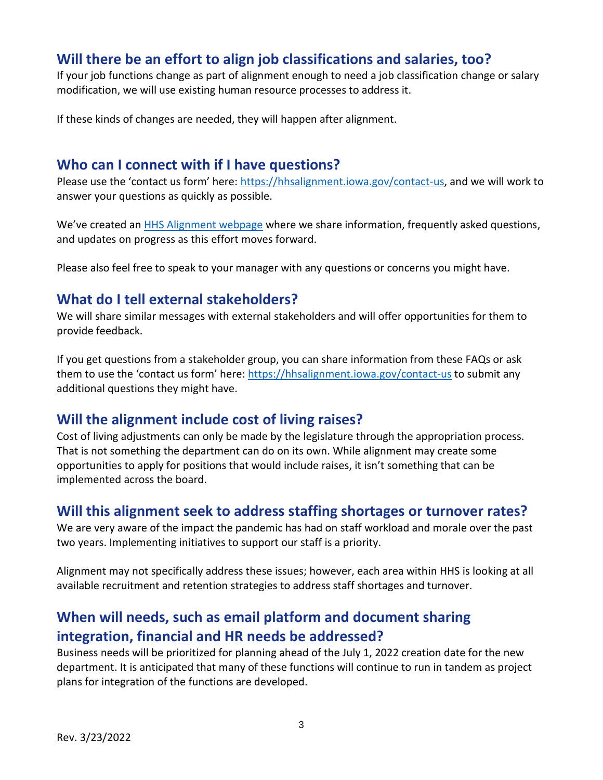## **Will there be an effort to align job classifications and salaries, too?**

If your job functions change as part of alignment enough to need a job classification change or salary modification, we will use existing human resource processes to address it.

If these kinds of changes are needed, they will happen after alignment.

#### **Who can I connect with if I have questions?**

Please use the 'contact us form' here: [https://hhsalignment.iowa.gov/contact-us,](https://hhsalignment.iowa.gov/contact-us) and we will work to answer your questions as quickly as possible.

We've created an [HHS Alignment webpage](https://hhsalignment.iowa.gov/) where we share information, frequently asked questions, and updates on progress as this effort moves forward.

Please also feel free to speak to your manager with any questions or concerns you might have.

## **What do I tell external stakeholders?**

We will share similar messages with external stakeholders and will offer opportunities for them to provide feedback.

If you get questions from a stakeholder group, you can share information from these FAQs or ask them to use the 'contact us form' here: <https://hhsalignment.iowa.gov/contact-us> to submit any additional questions they might have.

#### **Will the alignment include cost of living raises?**

Cost of living adjustments can only be made by the legislature through the appropriation process. That is not something the department can do on its own. While alignment may create some opportunities to apply for positions that would include raises, it isn't something that can be implemented across the board.

# **Will this alignment seek to address staffing shortages or turnover rates?**

We are very aware of the impact the pandemic has had on staff workload and morale over the past two years. Implementing initiatives to support our staff is a priority.

Alignment may not specifically address these issues; however, each area within HHS is looking at all available recruitment and retention strategies to address staff shortages and turnover.

# **When will needs, such as email platform and document sharing integration, financial and HR needs be addressed?**

Business needs will be prioritized for planning ahead of the July 1, 2022 creation date for the new department. It is anticipated that many of these functions will continue to run in tandem as project plans for integration of the functions are developed.